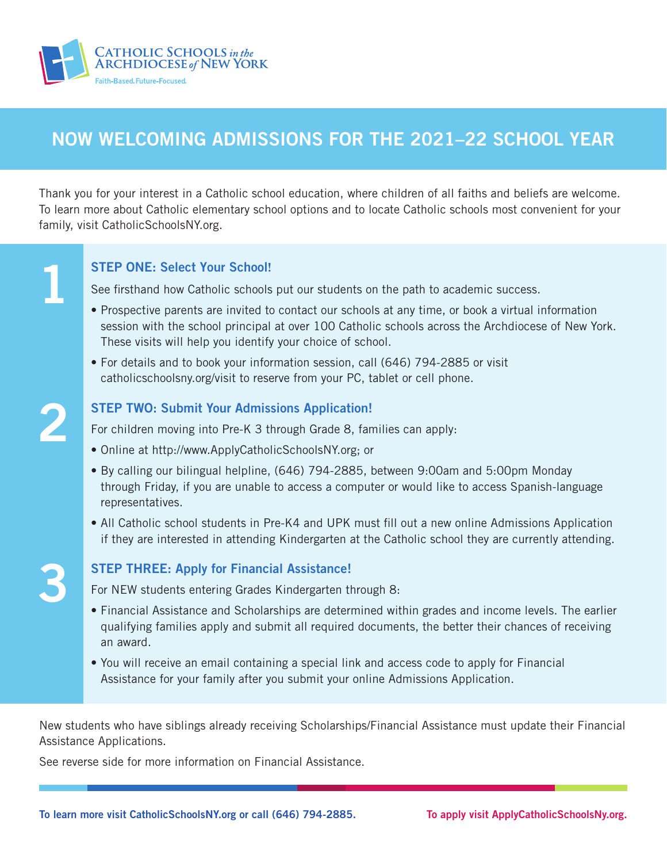

## NOW WELCOMING ADMISSIONS FOR THE 2021–22 SCHOOL YEAR

Thank you for your interest in a Catholic school education, where children of all faiths and beliefs are welcome. To learn more about Catholic elementary school options and to locate Catholic schools most convenient for your family, visit CatholicSchoolsNY.org.

#### STEP ONE: Select Your School**!**

See firsthand how Catholic schools put our students on the path to academic success.

- Prospective parents are invited to contact our schools at any time, or book a virtual information session with the school principal at over 100 Catholic schools across the Archdiocese of New York. These visits will help you identify your choice of school.
- For details and to book your information session, call (646) 794-2885 or visit catholicschoolsny.org/visit to reserve from your PC, tablet or cell phone.

# 2

3

1

#### STEP TWO: Submit Your Admissions Application!

For children moving into Pre-K 3 through Grade 8, families can apply:

- Online at http://www.ApplyCatholicSchoolsNY.org; or
- By calling our bilingual helpline, (646) 794-2885, between 9:00am and 5:00pm Monday through Friday, if you are unable to access a computer or would like to access Spanish-language representatives.
- All Catholic school students in Pre-K4 and UPK must fill out a new online Admissions Application if they are interested in attending Kindergarten at the Catholic school they are currently attending.

#### STEP THREE: Apply for Financial Assistance!

For NEW students entering Grades Kindergarten through 8:

- Financial Assistance and Scholarships are determined within grades and income levels. The earlier qualifying families apply and submit all required documents, the better their chances of receiving an award.
- You will receive an email containing a special link and access code to apply for Financial Assistance for your family after you submit your online Admissions Application.

New students who have siblings already receiving Scholarships/Financial Assistance must update their Financial Assistance Applications.

See reverse side for more information on Financial Assistance.